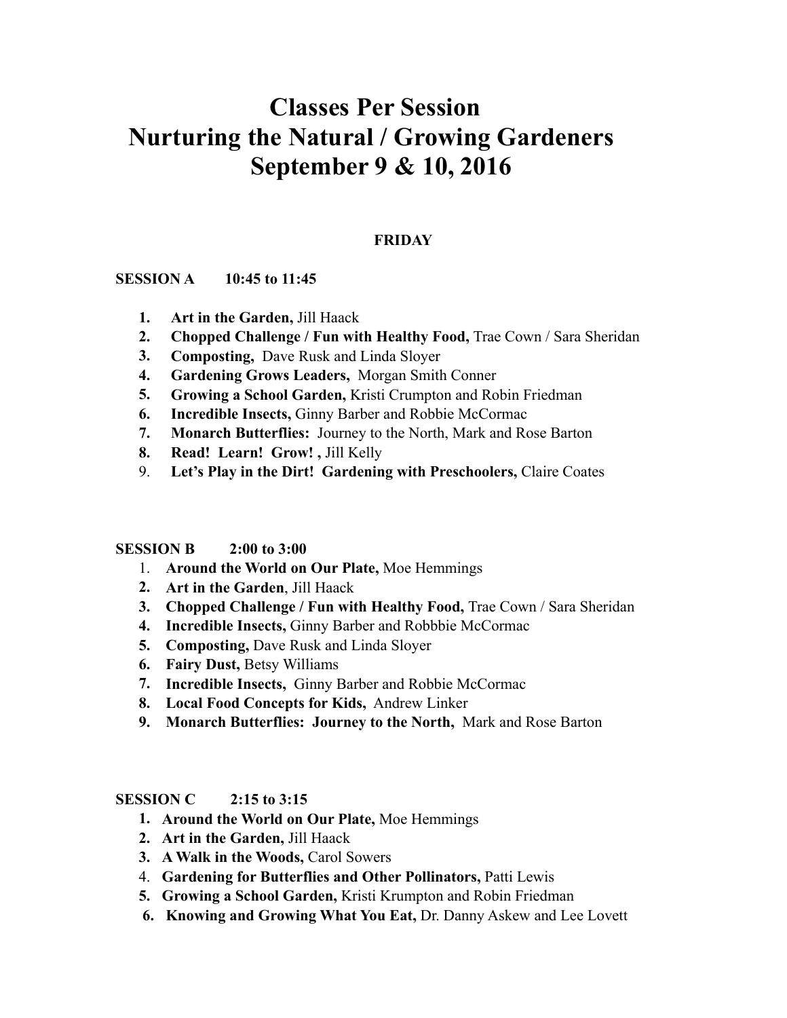# **Classes Per Session Nurturing the Natural / Growing Gardeners September 9 & 10, 2016**

# **FRIDAY**

## **SESSION A 10:45 to 11:45**

- **1. Art in the Garden,** Jill Haack
- **2. Chopped Challenge / Fun with Healthy Food,** Trae Cown / Sara Sheridan
- **3. Composting,** Dave Rusk and Linda Sloyer
- **4. Gardening Grows Leaders,** Morgan Smith Conner
- **5. Growing a School Garden,** Kristi Crumpton and Robin Friedman
- **6. Incredible Insects,** Ginny Barber and Robbie McCormac
- **7. Monarch Butterflies:** Journey to the North, Mark and Rose Barton
- **8. Read! Learn! Grow! ,** Jill Kelly
- 9. **Let's Play in the Dirt! Gardening with Preschoolers,** Claire Coates

#### **SESSION B 2:00 to 3:00**

- 1. **Around the World on Our Plate,** Moe Hemmings
- **2. Art in the Garden**, Jill Haack
- **3. Chopped Challenge / Fun with Healthy Food,** Trae Cown / Sara Sheridan
- **4. Incredible Insects,** Ginny Barber and Robbbie McCormac
- **5. Composting,** Dave Rusk and Linda Sloyer
- **6. Fairy Dust,** Betsy Williams
- **7. Incredible Insects,** Ginny Barber and Robbie McCormac
- **8. Local Food Concepts for Kids,** Andrew Linker
- **9. Monarch Butterflies: Journey to the North,** Mark and Rose Barton

#### **SESSION C 2:15 to 3:15**

- **1. Around the World on Our Plate,** Moe Hemmings
- **2. Art in the Garden,** Jill Haack
- **3. A Walk in the Woods,** Carol Sowers
- 4. **Gardening for Butterflies and Other Pollinators,** Patti Lewis
- **5. Growing a School Garden,** Kristi Krumpton and Robin Friedman
- **6. Knowing and Growing What You Eat,** Dr. Danny Askew and Lee Lovett